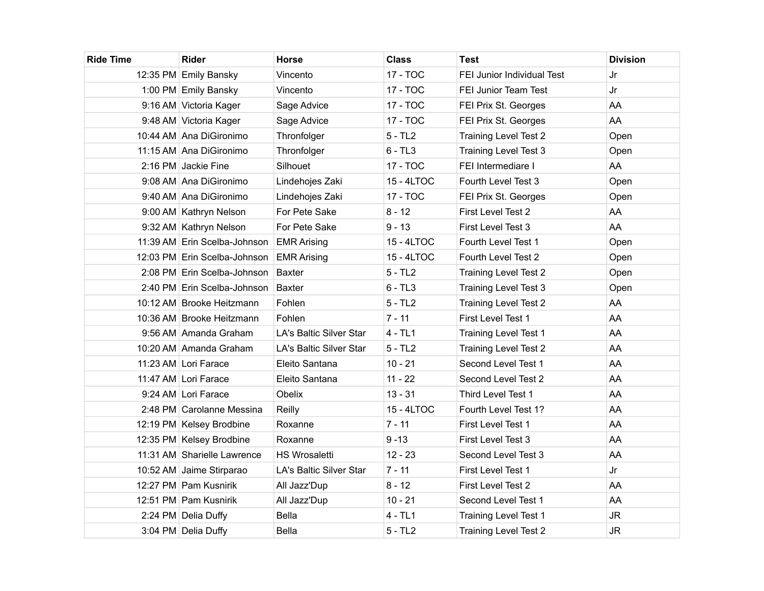| <b>Ride Time</b> | <b>Rider</b>                             | <b>Horse</b>            | <b>Class</b> | Test                         | <b>Division</b> |
|------------------|------------------------------------------|-------------------------|--------------|------------------------------|-----------------|
|                  | 12:35 PM Emily Bansky                    | Vincento                | 17 - TOC     | FEI Junior Individual Test   | Jr              |
|                  | 1:00 PM Emily Bansky                     | Vincento                | 17 - TOC     | FEI Junior Team Test         | Jr              |
|                  | 9:16 AM Victoria Kager                   | Sage Advice             | 17 - TOC     | FEI Prix St. Georges         | AA              |
|                  | 9:48 AM Victoria Kager                   | Sage Advice             | 17 - TOC     | FEI Prix St. Georges         | AA              |
|                  | 10:44 AM Ana DiGironimo                  | Thronfolger             | $5 - TL2$    | <b>Training Level Test 2</b> | Open            |
|                  | 11:15 AM Ana DiGironimo                  | Thronfolger             | $6 - TL3$    | <b>Training Level Test 3</b> | Open            |
|                  | 2:16 PM Jackie Fine                      | Silhouet                | 17 - TOC     | FEI Intermediare I           | AA              |
|                  | 9:08 AM Ana DiGironimo                   | Lindehojes Zaki         | 15 - 4LTOC   | Fourth Level Test 3          | Open            |
|                  | 9:40 AM Ana DiGironimo                   | Lindehojes Zaki         | 17 - TOC     | FEI Prix St. Georges         | Open            |
|                  | 9:00 AM   Kathryn Nelson                 | For Pete Sake           | $8 - 12$     | First Level Test 2           | AA              |
|                  | 9:32 AM   Kathryn Nelson                 | For Pete Sake           | $9 - 13$     | First Level Test 3           | AA              |
|                  | 11:39 AM Erin Scelba-Johnson             | <b>EMR Arising</b>      | 15 - 4LTOC   | Fourth Level Test 1          | Open            |
|                  | 12:03 PM Erin Scelba-Johnson EMR Arising |                         | 15 - 4LTOC   | Fourth Level Test 2          | Open            |
|                  | 2:08 PM Erin Scelba-Johnson              | Baxter                  | $5 - TL2$    | <b>Training Level Test 2</b> | Open            |
|                  | 2:40 PM Erin Scelba-Johnson              | <b>Baxter</b>           | $6 - TL3$    | <b>Training Level Test 3</b> | Open            |
|                  | 10:12 AM Brooke Heitzmann                | Fohlen                  | $5 - TL2$    | <b>Training Level Test 2</b> | AA              |
|                  | 10:36 AM   Brooke Heitzmann              | Fohlen                  | $7 - 11$     | First Level Test 1           | AA              |
|                  | 9:56 AM   Amanda Graham                  | LA's Baltic Silver Star | $4 - TL1$    | <b>Training Level Test 1</b> | AA              |
|                  | 10:20 AM Amanda Graham                   | LA's Baltic Silver Star | $5 - TL2$    | <b>Training Level Test 2</b> | AA              |
|                  | 11:23 AM Lori Farace                     | Eleito Santana          | $10 - 21$    | Second Level Test 1          | AA              |
|                  | 11:47 AM Lori Farace                     | Eleito Santana          | $11 - 22$    | Second Level Test 2          | AA              |
|                  | 9:24 AM Lori Farace                      | Obelix                  | $13 - 31$    | Third Level Test 1           | AA              |
|                  | 2:48 PM Carolanne Messina                | Reilly                  | 15 - 4LTOC   | Fourth Level Test 1?         | AA              |
|                  | 12:19 PM Kelsey Brodbine                 | Roxanne                 | $7 - 11$     | First Level Test 1           | AA              |
|                  | 12:35 PM   Kelsey Brodbine               | Roxanne                 | $9 - 13$     | First Level Test 3           | AA              |
|                  | 11:31 AM Sharielle Lawrence              | <b>HS Wrosaletti</b>    | $12 - 23$    | Second Level Test 3          | AA              |
|                  | 10:52 AM Jaime Stirparao                 | LA's Baltic Silver Star | $7 - 11$     | First Level Test 1           | Jr              |
|                  | 12:27 PM Pam Kusnirik                    | All Jazz'Dup            | $8 - 12$     | First Level Test 2           | AA              |
|                  | 12:51 PM Pam Kusnirik                    | All Jazz'Dup            | $10 - 21$    | Second Level Test 1          | AA              |
|                  | 2:24 PM Delia Duffy                      | <b>Bella</b>            | $4 - TL1$    | <b>Training Level Test 1</b> | <b>JR</b>       |
|                  | 3:04 PM Delia Duffy                      | <b>Bella</b>            | $5 - TL2$    | <b>Training Level Test 2</b> | <b>JR</b>       |